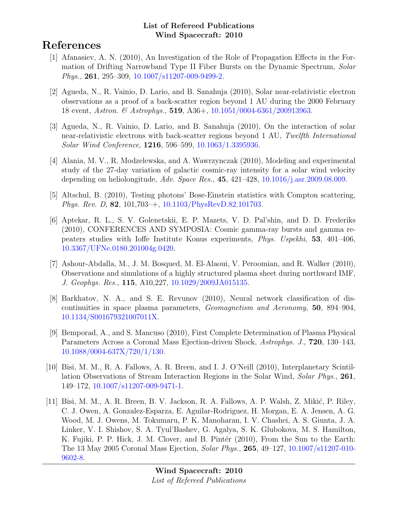# References

- [1] Afanasiev, A. N. (2010), An Investigation of the Role of Propagation Effects in the Formation of Drifting Narrowband Type II Fiber Bursts on the Dynamic Spectrum, Solar Phys., 261, 295–309, [10.1007/s11207-009-9499-2.](http://dx.doi.org/10.1007/s11207-009-9499-2)
- [2] Agueda, N., R. Vainio, D. Lario, and B. Sanahuja (2010), Solar near-relativistic electron observations as a proof of a back-scatter region beyond 1 AU during the 2000 February 18 event, Astron. & Astrophys., 519, A36+, [10.1051/0004-6361/200913963.](http://dx.doi.org/10.1051/0004-6361/200913963)
- [3] Agueda, N., R. Vainio, D. Lario, and B. Sanahuja (2010), On the interaction of solar near-relativistic electrons with back-scatter regions beyond 1 AU, Twelfth International Solar Wind Conference, 1216, 596–599, [10.1063/1.3395936.](http://dx.doi.org/10.1063/1.3395936)
- [4] Alania, M. V., R. Modzelewska, and A. Wawrzynczak (2010), Modeling and experimental study of the 27-day variation of galactic cosmic-ray intensity for a solar wind velocity depending on heliolongitude, Adv. Space Res., 45, 421–428, [10.1016/j.asr.2009.08.009.](http://dx.doi.org/10.1016/j.asr.2009.08.009)
- [5] Altschul, B. (2010), Testing photons' Bose-Einstein statistics with Compton scattering, Phys. Rev. D, 82, 101,703–+, [10.1103/PhysRevD.82.101703.](http://dx.doi.org/10.1103/PhysRevD.82.101703)
- [6] Aptekar, R. L., S. V. Golenetskii, E. P. Mazets, V. D. Pal'shin, and D. D. Frederiks (2010), CONFERENCES AND SYMPOSIA: Cosmic gamma-ray bursts and gamma repeaters studies with Ioffe Institute Konus experiments, Phys. Uspekhi, 53, 401–406, [10.3367/UFNe.0180.201004g.0420.](http://dx.doi.org/10.3367/UFNe.0180.201004g.0420)
- [7] Ashour-Abdalla, M., J. M. Bosqued, M. El-Alaoui, V. Peroomian, and R. Walker (2010), Observations and simulations of a highly structured plasma sheet during northward IMF, J. Geophys. Res., 115, A10,227, [10.1029/2009JA015135.](http://dx.doi.org/10.1029/2009JA015135)
- [8] Barkhatov, N. A., and S. E. Revunov (2010), Neural network classification of discontinuities in space plasma parameters, Geomagnetism and Aeronomy, 50, 894–904, [10.1134/S001679321007011X.](http://dx.doi.org/10.1134/S001679321007011X)
- [9] Bemporad, A., and S. Mancuso (2010), First Complete Determination of Plasma Physical Parameters Across a Coronal Mass Ejection-driven Shock, Astrophys. J., 720, 130–143, [10.1088/0004-637X/720/1/130.](http://dx.doi.org/10.1088/0004-637X/720/1/130)
- [10] Bisi, M. M., R. A. Fallows, A. R. Breen, and I. J. O'Neill (2010), Interplanetary Scintillation Observations of Stream Interaction Regions in the Solar Wind, Solar Phys., 261, 149–172, [10.1007/s11207-009-9471-1.](http://dx.doi.org/10.1007/s11207-009-9471-1)
- [11] Bisi, M. M., A. R. Breen, B. V. Jackson, R. A. Fallows, A. P. Walsh, Z. Mikić, P. Riley, C. J. Owen, A. Gonzalez-Esparza, E. Aguilar-Rodriguez, H. Morgan, E. A. Jensen, A. G. Wood, M. J. Owens, M. Tokumaru, P. K. Manoharan, I. V. Chashei, A. S. Giunta, J. A. Linker, V. I. Shishov, S. A. Tyul'Bashev, G. Agalya, S. K. Glubokova, M. S. Hamilton, K. Fujiki, P. P. Hick, J. M. Clover, and B. Pintér (2010), From the Sun to the Earth: The 13 May 2005 Coronal Mass Ejection, Solar Phys., 265, 49–127, [10.1007/s11207-010-](http://dx.doi.org/10.1007/s11207-010-9602-8) [9602-8.](http://dx.doi.org/10.1007/s11207-010-9602-8)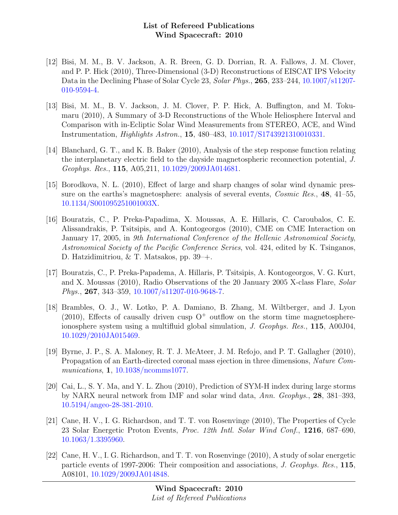- [12] Bisi, M. M., B. V. Jackson, A. R. Breen, G. D. Dorrian, R. A. Fallows, J. M. Clover, and P. P. Hick (2010), Three-Dimensional (3-D) Reconstructions of EISCAT IPS Velocity Data in the Declining Phase of Solar Cycle 23, Solar Phys., 265, 233–244, [10.1007/s11207-](http://dx.doi.org/10.1007/s11207-010-9594-4) [010-9594-4.](http://dx.doi.org/10.1007/s11207-010-9594-4)
- [13] Bisi, M. M., B. V. Jackson, J. M. Clover, P. P. Hick, A. Buffington, and M. Tokumaru (2010), A Summary of 3-D Reconstructions of the Whole Heliosphere Interval and Comparison with in-Ecliptic Solar Wind Measurements from STEREO, ACE, and Wind Instrumentation, Highlights Astron., 15, 480–483, [10.1017/S1743921310010331.](http://dx.doi.org/10.1017/S1743921310010331)
- [14] Blanchard, G. T., and K. B. Baker (2010), Analysis of the step response function relating the interplanetary electric field to the dayside magnetospheric reconnection potential, J. Geophys. Res., 115, A05,211, [10.1029/2009JA014681.](http://dx.doi.org/10.1029/2009JA014681)
- [15] Borodkova, N. L. (2010), Effect of large and sharp changes of solar wind dynamic pressure on the earths's magnetosphere: analysis of several events, *Cosmic Res.*, **48**, 41–55, [10.1134/S001095251001003X.](http://dx.doi.org/10.1134/S001095251001003X)
- [16] Bouratzis, C., P. Preka-Papadima, X. Moussas, A. E. Hillaris, C. Caroubalos, C. E. Alissandrakis, P. Tsitsipis, and A. Kontogeorgos (2010), CME on CME Interaction on January 17, 2005, in 9th International Conference of the Hellenic Astronomical Society, Astronomical Society of the Pacific Conference Series, vol. 424, edited by K. Tsinganos, D. Hatzidimitriou, & T. Matsakos, pp. 39–+.
- [17] Bouratzis, C., P. Preka-Papadema, A. Hillaris, P. Tsitsipis, A. Kontogeorgos, V. G. Kurt, and X. Moussas (2010), Radio Observations of the 20 January 2005 X-class Flare, Solar Phys., 267, 343–359, [10.1007/s11207-010-9648-7.](http://dx.doi.org/10.1007/s11207-010-9648-7)
- [18] Brambles, O. J., W. Lotko, P. A. Damiano, B. Zhang, M. Wiltberger, and J. Lyon  $(2010)$ , Effects of causally driven cusp  $O^+$  outflow on the storm time magnetosphereionosphere system using a multifluid global simulation, J. Geophys. Res., 115, A00J04, [10.1029/2010JA015469.](http://dx.doi.org/10.1029/2010JA015469)
- [19] Byrne, J. P., S. A. Maloney, R. T. J. McAteer, J. M. Refojo, and P. T. Gallagher (2010), Propagation of an Earth-directed coronal mass ejection in three dimensions, Nature Communications, **1**, [10.1038/ncomms1077.](http://dx.doi.org/10.1038/ncomms1077)
- [20] Cai, L., S. Y. Ma, and Y. L. Zhou (2010), Prediction of SYM-H index during large storms by NARX neural network from IMF and solar wind data, Ann. Geophys., 28, 381–393, [10.5194/angeo-28-381-2010.](http://dx.doi.org/10.5194/angeo-28-381-2010)
- [21] Cane, H. V., I. G. Richardson, and T. T. von Rosenvinge (2010), The Properties of Cycle 23 Solar Energetic Proton Events, Proc. 12th Intl. Solar Wind Conf., 1216, 687–690, [10.1063/1.3395960.](http://dx.doi.org/10.1063/1.3395960)
- [22] Cane, H. V., I. G. Richardson, and T. T. von Rosenvinge (2010), A study of solar energetic particle events of 1997-2006: Their composition and associations, J. Geophys. Res., 115, A08101, [10.1029/2009JA014848.](http://dx.doi.org/10.1029/2009JA014848)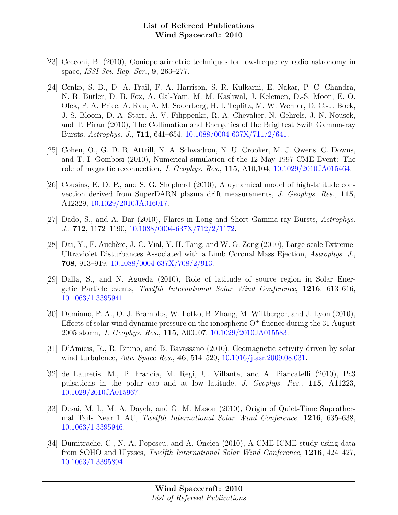- [23] Cecconi, B. (2010), Goniopolarimetric techniques for low-frequency radio astronomy in space, ISSI Sci. Rep. Ser., 9, 263–277.
- [24] Cenko, S. B., D. A. Frail, F. A. Harrison, S. R. Kulkarni, E. Nakar, P. C. Chandra, N. R. Butler, D. B. Fox, A. Gal-Yam, M. M. Kasliwal, J. Kelemen, D.-S. Moon, E. O. Ofek, P. A. Price, A. Rau, A. M. Soderberg, H. I. Teplitz, M. W. Werner, D. C.-J. Bock, J. S. Bloom, D. A. Starr, A. V. Filippenko, R. A. Chevalier, N. Gehrels, J. N. Nousek, and T. Piran (2010), The Collimation and Energetics of the Brightest Swift Gamma-ray Bursts, Astrophys. J., 711, 641–654, [10.1088/0004-637X/711/2/641.](http://dx.doi.org/10.1088/0004-637X/711/2/641)
- [25] Cohen, O., G. D. R. Attrill, N. A. Schwadron, N. U. Crooker, M. J. Owens, C. Downs, and T. I. Gombosi (2010), Numerical simulation of the 12 May 1997 CME Event: The role of magnetic reconnection, J. Geophys. Res., 115, A10,104, [10.1029/2010JA015464.](http://dx.doi.org/10.1029/2010JA015464)
- [26] Cousins, E. D. P., and S. G. Shepherd (2010), A dynamical model of high-latitude convection derived from SuperDARN plasma drift measurements, J. Geophys. Res., 115, A12329, [10.1029/2010JA016017.](http://dx.doi.org/10.1029/2010JA016017)
- [27] Dado, S., and A. Dar (2010), Flares in Long and Short Gamma-ray Bursts, Astrophys. J., 712, 1172–1190, [10.1088/0004-637X/712/2/1172.](http://dx.doi.org/10.1088/0004-637X/712/2/1172)
- [28] Dai, Y., F. Auchère, J.-C. Vial, Y. H. Tang, and W. G. Zong  $(2010)$ , Large-scale Extreme-Ultraviolet Disturbances Associated with a Limb Coronal Mass Ejection, Astrophys. J., 708, 913–919, [10.1088/0004-637X/708/2/913.](http://dx.doi.org/10.1088/0004-637X/708/2/913)
- [29] Dalla, S., and N. Agueda (2010), Role of latitude of source region in Solar Energetic Particle events, Twelfth International Solar Wind Conference, 1216, 613–616, [10.1063/1.3395941.](http://dx.doi.org/10.1063/1.3395941)
- [30] Damiano, P. A., O. J. Brambles, W. Lotko, B. Zhang, M. Wiltberger, and J. Lyon (2010), Effects of solar wind dynamic pressure on the ionospheric  $O<sup>+</sup>$  fluence during the 31 August 2005 storm, J. Geophys. Res., 115, A00J07, [10.1029/2010JA015583.](http://dx.doi.org/10.1029/2010JA015583)
- [31] D'Amicis, R., R. Bruno, and B. Bavassano (2010), Geomagnetic activity driven by solar wind turbulence, Adv. Space Res., 46, 514–520, [10.1016/j.asr.2009.08.031.](http://dx.doi.org/10.1016/j.asr.2009.08.031)
- [32] de Lauretis, M., P. Francia, M. Regi, U. Villante, and A. Piancatelli (2010), Pc3 pulsations in the polar cap and at low latitude, J. Geophys. Res., 115, A11223, [10.1029/2010JA015967.](http://dx.doi.org/10.1029/2010JA015967)
- [33] Desai, M. I., M. A. Dayeh, and G. M. Mason (2010), Origin of Quiet-Time Suprathermal Tails Near 1 AU, Twelfth International Solar Wind Conference, 1216, 635–638, [10.1063/1.3395946.](http://dx.doi.org/10.1063/1.3395946)
- [34] Dumitrache, C., N. A. Popescu, and A. Oncica (2010), A CME-ICME study using data from SOHO and Ulysses, Twelfth International Solar Wind Conference, 1216, 424–427, [10.1063/1.3395894.](http://dx.doi.org/10.1063/1.3395894)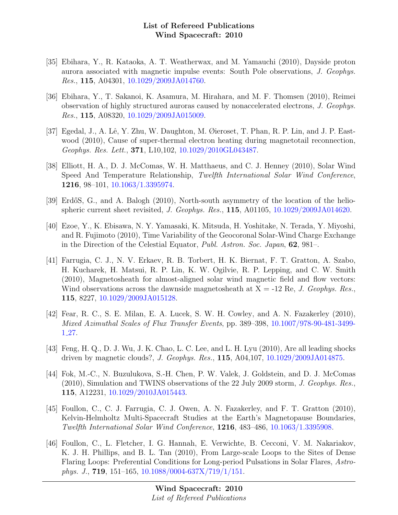- [35] Ebihara, Y., R. Kataoka, A. T. Weatherwax, and M. Yamauchi (2010), Dayside proton aurora associated with magnetic impulse events: South Pole observations, J. Geophys. Res., 115, A04301, [10.1029/2009JA014760.](http://dx.doi.org/10.1029/2009JA014760)
- [36] Ebihara, Y., T. Sakanoi, K. Asamura, M. Hirahara, and M. F. Thomsen (2010), Reimei observation of highly structured auroras caused by nonaccelerated electrons, J. Geophys. Res., 115, A08320, [10.1029/2009JA015009.](http://dx.doi.org/10.1029/2009JA015009)
- [37] Egedal, J., A. Lê, Y. Zhu, W. Daughton, M. Øieroset, T. Phan, R. P. Lin, and J. P. Eastwood (2010), Cause of super-thermal electron heating during magnetotail reconnection, Geophys. Res. Lett., 371, L10,102, [10.1029/2010GL043487.](http://dx.doi.org/10.1029/2010GL043487)
- [38] Elliott, H. A., D. J. McComas, W. H. Matthaeus, and C. J. Henney (2010), Solar Wind Speed And Temperature Relationship, Twelfth International Solar Wind Conference, 1216, 98–101, [10.1063/1.3395974.](http://dx.doi.org/10.1063/1.3395974)
- [39] ErdőS, G., and A. Balogh (2010), North-south asymmetry of the location of the heliospheric current sheet revisited, J. Geophys. Res., 115, A01105, [10.1029/2009JA014620.](http://dx.doi.org/10.1029/2009JA014620)
- [40] Ezoe, Y., K. Ebisawa, N. Y. Yamasaki, K. Mitsuda, H. Yoshitake, N. Terada, Y. Miyoshi, and R. Fujimoto (2010), Time Variability of the Geocoronal Solar-Wind Charge Exchange in the Direction of the Celestial Equator, Publ. Astron. Soc. Japan, 62, 981–.
- [41] Farrugia, C. J., N. V. Erkaev, R. B. Torbert, H. K. Biernat, F. T. Gratton, A. Szabo, H. Kucharek, H. Matsui, R. P. Lin, K. W. Ogilvie, R. P. Lepping, and C. W. Smith (2010), Magnetosheath for almost-aligned solar wind magnetic field and flow vectors: Wind observations across the dawnside magnetosheath at  $X = -12$  Re, J. Geophys. Res. 115, 8227, [10.1029/2009JA015128.](http://dx.doi.org/10.1029/2009JA015128)
- [42] Fear, R. C., S. E. Milan, E. A. Lucek, S. W. H. Cowley, and A. N. Fazakerley (2010), Mixed Azimuthal Scales of Flux Transfer Events, pp. 389–398, [10.1007/978-90-481-3499-](http://dx.doi.org/10.1007/978-90-481-3499-1_27) 1 [27.](http://dx.doi.org/10.1007/978-90-481-3499-1_27)
- [43] Feng, H. Q., D. J. Wu, J. K. Chao, L. C. Lee, and L. H. Lyu (2010), Are all leading shocks driven by magnetic clouds?, J. Geophys. Res., 115, A04,107, [10.1029/2009JA014875.](http://dx.doi.org/10.1029/2009JA014875)
- [44] Fok, M.-C., N. Buzulukova, S.-H. Chen, P. W. Valek, J. Goldstein, and D. J. McComas (2010), Simulation and TWINS observations of the 22 July 2009 storm, J. Geophys. Res., 115, A12231, [10.1029/2010JA015443.](http://dx.doi.org/10.1029/2010JA015443)
- [45] Foullon, C., C. J. Farrugia, C. J. Owen, A. N. Fazakerley, and F. T. Gratton (2010), Kelvin-Helmholtz Multi-Spacecraft Studies at the Earth's Magnetopause Boundaries, Twelfth International Solar Wind Conference, 1216, 483–486, [10.1063/1.3395908.](http://dx.doi.org/10.1063/1.3395908)
- [46] Foullon, C., L. Fletcher, I. G. Hannah, E. Verwichte, B. Cecconi, V. M. Nakariakov, K. J. H. Phillips, and B. L. Tan (2010), From Large-scale Loops to the Sites of Dense Flaring Loops: Preferential Conditions for Long-period Pulsations in Solar Flares, Astrophys. J., 719, 151–165, [10.1088/0004-637X/719/1/151.](http://dx.doi.org/10.1088/0004-637X/719/1/151)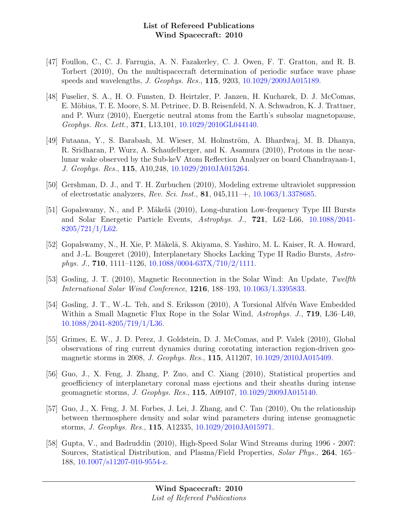- [47] Foullon, C., C. J. Farrugia, A. N. Fazakerley, C. J. Owen, F. T. Gratton, and R. B. Torbert (2010), On the multispacecraft determination of periodic surface wave phase speeds and wavelengths, J. Geophys. Res., 115, 9203, [10.1029/2009JA015189.](http://dx.doi.org/10.1029/2009JA015189)
- [48] Fuselier, S. A., H. O. Funsten, D. Heirtzler, P. Janzen, H. Kucharek, D. J. McComas, E. Möbius, T. E. Moore, S. M. Petrinec, D. B. Reisenfeld, N. A. Schwadron, K. J. Trattner, and P. Wurz (2010), Energetic neutral atoms from the Earth's subsolar magnetopause, Geophys. Res. Lett., 371, L13,101, [10.1029/2010GL044140.](http://dx.doi.org/10.1029/2010GL044140)
- [49] Futaana, Y., S. Barabash, M. Wieser, M. Holmström, A. Bhardwaj, M. B. Dhanya, R. Sridharan, P. Wurz, A. Schaufelberger, and K. Asamura (2010), Protons in the nearlunar wake observed by the Sub-keV Atom Reflection Analyzer on board Chandrayaan-1, J. Geophys. Res., 115, A10,248, [10.1029/2010JA015264.](http://dx.doi.org/10.1029/2010JA015264)
- [50] Gershman, D. J., and T. H. Zurbuchen (2010), Modeling extreme ultraviolet suppression of electrostatic analyzers, Rev. Sci. Inst., 81, 045,111–+, [10.1063/1.3378685.](http://dx.doi.org/10.1063/1.3378685)
- [51] Gopalswamy, N., and P. Mäkelä (2010), Long-duration Low-frequency Type III Bursts and Solar Energetic Particle Events, Astrophys. J., 721, L62–L66, [10.1088/2041-](http://dx.doi.org/10.1088/2041-8205/721/1/L62) [8205/721/1/L62.](http://dx.doi.org/10.1088/2041-8205/721/1/L62)
- [52] Gopalswamy, N., H. Xie, P. M¨akel¨a, S. Akiyama, S. Yashiro, M. L. Kaiser, R. A. Howard, and J.-L. Bougeret (2010), Interplanetary Shocks Lacking Type II Radio Bursts, Astrophys. J., **710**, 1111–1126,  $10.1088/0004-637X/710/2/1111$ .
- [53] Gosling, J. T. (2010), Magnetic Reconnection in the Solar Wind: An Update, Twelfth International Solar Wind Conference, 1216, 188–193, [10.1063/1.3395833.](http://dx.doi.org/10.1063/1.3395833)
- [54] Gosling, J. T., W.-L. Teh, and S. Eriksson (2010), A Torsional Alfvén Wave Embedded Within a Small Magnetic Flux Rope in the Solar Wind, Astrophys. J., **719**, L36–L40, [10.1088/2041-8205/719/1/L36.](http://dx.doi.org/10.1088/2041-8205/719/1/L36)
- [55] Grimes, E. W., J. D. Perez, J. Goldstein, D. J. McComas, and P. Valek (2010), Global observations of ring current dynamics during corotating interaction region-driven geomagnetic storms in 2008, J. Geophys. Res., 115, A11207, [10.1029/2010JA015409.](http://dx.doi.org/10.1029/2010JA015409)
- [56] Guo, J., X. Feng, J. Zhang, P. Zuo, and C. Xiang (2010), Statistical properties and geoefficiency of interplanetary coronal mass ejections and their sheaths during intense geomagnetic storms, J. Geophys. Res., 115, A09107, [10.1029/2009JA015140.](http://dx.doi.org/10.1029/2009JA015140)
- [57] Guo, J., X. Feng, J. M. Forbes, J. Lei, J. Zhang, and C. Tan  $(2010)$ , On the relationship between thermosphere density and solar wind parameters during intense geomagnetic storms, J. Geophys. Res., 115, A12335, [10.1029/2010JA015971.](http://dx.doi.org/10.1029/2010JA015971)
- [58] Gupta, V., and Badruddin (2010), High-Speed Solar Wind Streams during 1996 2007: Sources, Statistical Distribution, and Plasma/Field Properties, Solar Phys., 264, 165– 188, [10.1007/s11207-010-9554-z.](http://dx.doi.org/10.1007/s11207-010-9554-z)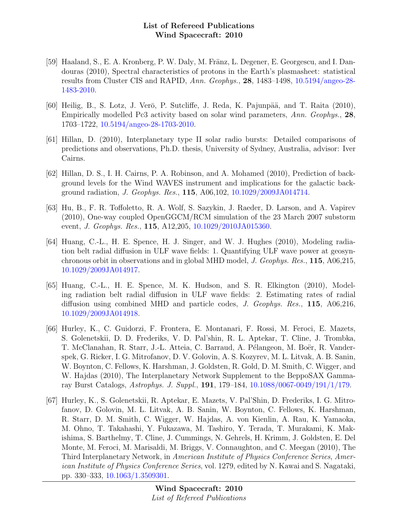- [59] Haaland, S., E. A. Kronberg, P. W. Daly, M. Fränz, L. Degener, E. Georgescu, and I. Dandouras (2010), Spectral characteristics of protons in the Earth's plasmasheet: statistical results from Cluster CIS and RAPID, Ann. Geophys., 28, 1483–1498, [10.5194/angeo-28-](http://dx.doi.org/10.5194/angeo-28-1483-2010) [1483-2010.](http://dx.doi.org/10.5194/angeo-28-1483-2010)
- [60] Heilig, B., S. Lotz, J. Verō, P. Sutcliffe, J. Reda, K. Pajunpää, and T. Raita (2010), Empirically modelled Pc3 activity based on solar wind parameters, Ann. Geophys., 28, 1703–1722, [10.5194/angeo-28-1703-2010.](http://dx.doi.org/10.5194/angeo-28-1703-2010)
- [61] Hillan, D. (2010), Interplanetary type II solar radio bursts: Detailed comparisons of predictions and observations, Ph.D. thesis, University of Sydney, Australia, advisor: Iver Cairns.
- [62] Hillan, D. S., I. H. Cairns, P. A. Robinson, and A. Mohamed (2010), Prediction of background levels for the Wind WAVES instrument and implications for the galactic background radiation, J. Geophys. Res., 115, A06,102, [10.1029/2009JA014714.](http://dx.doi.org/10.1029/2009JA014714)
- [63] Hu, B., F. R. Toffoletto, R. A. Wolf, S. Sazykin, J. Raeder, D. Larson, and A. Vapirev (2010), One-way coupled OpenGGCM/RCM simulation of the 23 March 2007 substorm event, J. Geophys. Res., 115, A12,205, [10.1029/2010JA015360.](http://dx.doi.org/10.1029/2010JA015360)
- [64] Huang, C.-L., H. E. Spence, H. J. Singer, and W. J. Hughes (2010), Modeling radiation belt radial diffusion in ULF wave fields: 1. Quantifying ULF wave power at geosynchronous orbit in observations and in global MHD model, J. Geophys. Res., 115, A06,215, [10.1029/2009JA014917.](http://dx.doi.org/10.1029/2009JA014917)
- [65] Huang, C.-L., H. E. Spence, M. K. Hudson, and S. R. Elkington (2010), Modeling radiation belt radial diffusion in ULF wave fields: 2. Estimating rates of radial diffusion using combined MHD and particle codes, J. Geophys. Res., 115, A06,216, [10.1029/2009JA014918.](http://dx.doi.org/10.1029/2009JA014918)
- [66] Hurley, K., C. Guidorzi, F. Frontera, E. Montanari, F. Rossi, M. Feroci, E. Mazets, S. Golenetskii, D. D. Frederiks, V. D. Pal'shin, R. L. Aptekar, T. Cline, J. Trombka, T. McClanahan, R. Starr, J.-L. Atteia, C. Barraud, A. Pélangeon, M. Boër, R. Vanderspek, G. Ricker, I. G. Mitrofanov, D. V. Golovin, A. S. Kozyrev, M. L. Litvak, A. B. Sanin, W. Boynton, C. Fellows, K. Harshman, J. Goldsten, R. Gold, D. M. Smith, C. Wigger, and W. Hajdas (2010), The Interplanetary Network Supplement to the BeppoSAX Gammaray Burst Catalogs, Astrophys. J. Suppl., 191, 179–184, [10.1088/0067-0049/191/1/179.](http://dx.doi.org/10.1088/0067-0049/191/1/179)
- [67] Hurley, K., S. Golenetskii, R. Aptekar, E. Mazets, V. Pal'Shin, D. Frederiks, I. G. Mitrofanov, D. Golovin, M. L. Litvak, A. B. Sanin, W. Boynton, C. Fellows, K. Harshman, R. Starr, D. M. Smith, C. Wigger, W. Hajdas, A. von Kienlin, A. Rau, K. Yamaoka, M. Ohno, T. Takahashi, Y. Fukazawa, M. Tashiro, Y. Terada, T. Murakami, K. Makishima, S. Barthelmy, T. Cline, J. Cummings, N. Gehrels, H. Krimm, J. Goldsten, E. Del Monte, M. Feroci, M. Marisaldi, M. Briggs, V. Connaughton, and C. Meegan (2010), The Third Interplanetary Network, in American Institute of Physics Conference Series, American Institute of Physics Conference Series, vol. 1279, edited by N. Kawai and S. Nagataki, pp. 330–333, [10.1063/1.3509301.](http://dx.doi.org/10.1063/1.3509301)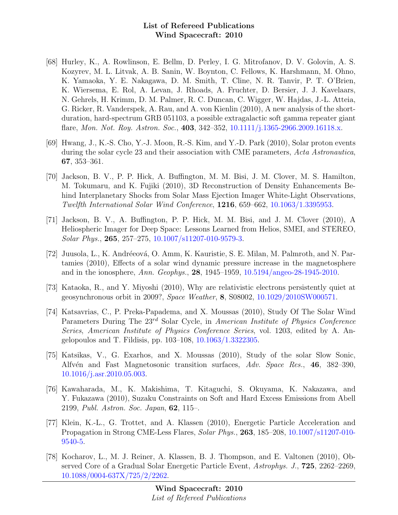- [68] Hurley, K., A. Rowlinson, E. Bellm, D. Perley, I. G. Mitrofanov, D. V. Golovin, A. S. Kozyrev, M. L. Litvak, A. B. Sanin, W. Boynton, C. Fellows, K. Harshmann, M. Ohno, K. Yamaoka, Y. E. Nakagawa, D. M. Smith, T. Cline, N. R. Tanvir, P. T. O'Brien, K. Wiersema, E. Rol, A. Levan, J. Rhoads, A. Fruchter, D. Bersier, J. J. Kavelaars, N. Gehrels, H. Krimm, D. M. Palmer, R. C. Duncan, C. Wigger, W. Hajdas, J.-L. Atteia, G. Ricker, R. Vanderspek, A. Rau, and A. von Kienlin (2010), A new analysis of the shortduration, hard-spectrum GRB 051103, a possible extragalactic soft gamma repeater giant flare, *Mon. Not. Roy. Astron. Soc.*, **403**, 342–352, [10.1111/j.1365-2966.2009.16118.x.](http://dx.doi.org/10.1111/j.1365-2966.2009.16118.x)
- [69] Hwang, J., K.-S. Cho, Y.-J. Moon, R.-S. Kim, and Y.-D. Park (2010), Solar proton events during the solar cycle 23 and their association with CME parameters, Acta Astronautica, 67, 353–361.
- [70] Jackson, B. V., P. P. Hick, A. Buffington, M. M. Bisi, J. M. Clover, M. S. Hamilton, M. Tokumaru, and K. Fujiki (2010), 3D Reconstruction of Density Enhancements Behind Interplanetary Shocks from Solar Mass Ejection Imager White-Light Observations, Twelfth International Solar Wind Conference, 1216, 659–662, [10.1063/1.3395953.](http://dx.doi.org/10.1063/1.3395953)
- [71] Jackson, B. V., A. Buffington, P. P. Hick, M. M. Bisi, and J. M. Clover (2010), A Heliospheric Imager for Deep Space: Lessons Learned from Helios, SMEI, and STEREO, Solar Phys., 265, 257–275, [10.1007/s11207-010-9579-3.](http://dx.doi.org/10.1007/s11207-010-9579-3)
- [72] Juusola, L., K. Andréeová, O. Amm, K. Kauristie, S. E. Milan, M. Palmroth, and N. Partamies (2010), Effects of a solar wind dynamic pressure increase in the magnetosphere and in the ionosphere, Ann. Geophys., 28, 1945–1959, [10.5194/angeo-28-1945-2010.](http://dx.doi.org/10.5194/angeo-28-1945-2010)
- [73] Kataoka, R., and Y. Miyoshi (2010), Why are relativistic electrons persistently quiet at geosynchronous orbit in 2009?, Space Weather, 8, S08002, [10.1029/2010SW000571.](http://dx.doi.org/10.1029/2010SW000571)
- [74] Katsavrias, C., P. Preka-Papadema, and X. Moussas (2010), Study Of The Solar Wind Parameters During The 23<sup>rd</sup> Solar Cycle, in American Institute of Physics Conference Series, American Institute of Physics Conference Series, vol. 1203, edited by A. Angelopoulos and T. Fildisis, pp. 103–108, [10.1063/1.3322305.](http://dx.doi.org/10.1063/1.3322305)
- [75] Katsikas, V., G. Exarhos, and X. Moussas (2010), Study of the solar Slow Sonic, Alfvén and Fast Magnetosonic transition surfaces, Adv. Space Res., 46, 382–390, [10.1016/j.asr.2010.05.003.](http://dx.doi.org/10.1016/j.asr.2010.05.003)
- [76] Kawaharada, M., K. Makishima, T. Kitaguchi, S. Okuyama, K. Nakazawa, and Y. Fukazawa (2010), Suzaku Constraints on Soft and Hard Excess Emissions from Abell 2199, Publ. Astron. Soc. Japan, 62, 115–.
- [77] Klein, K.-L., G. Trottet, and A. Klassen (2010), Energetic Particle Acceleration and Propagation in Strong CME-Less Flares, Solar Phys., 263, 185–208, [10.1007/s11207-010-](http://dx.doi.org/10.1007/s11207-010-9540-5) [9540-5.](http://dx.doi.org/10.1007/s11207-010-9540-5)
- [78] Kocharov, L., M. J. Reiner, A. Klassen, B. J. Thompson, and E. Valtonen (2010), Observed Core of a Gradual Solar Energetic Particle Event, Astrophys. J., 725, 2262–2269, [10.1088/0004-637X/725/2/2262.](http://dx.doi.org/10.1088/0004-637X/725/2/2262)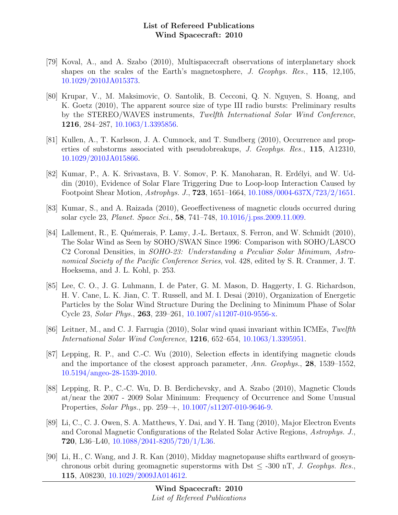- [79] Koval, A., and A. Szabo (2010), Multispacecraft observations of interplanetary shock shapes on the scales of the Earth's magnetosphere, J. Geophys. Res., 115, 12,105, [10.1029/2010JA015373.](http://dx.doi.org/10.1029/2010JA015373)
- [80] Krupar, V., M. Maksimovic, O. Santolik, B. Cecconi, Q. N. Nguyen, S. Hoang, and K. Goetz (2010), The apparent source size of type III radio bursts: Preliminary results by the STEREO/WAVES instruments, Twelfth International Solar Wind Conference, 1216, 284–287, [10.1063/1.3395856.](http://dx.doi.org/10.1063/1.3395856)
- [81] Kullen, A., T. Karlsson, J. A. Cumnock, and T. Sundberg (2010), Occurrence and properties of substorms associated with pseudobreakups, J. Geophys. Res., 115, A12310, [10.1029/2010JA015866.](http://dx.doi.org/10.1029/2010JA015866)
- [82] Kumar, P., A. K. Srivastava, B. V. Somov, P. K. Manoharan, R. Erdélyi, and W. Uddin (2010), Evidence of Solar Flare Triggering Due to Loop-loop Interaction Caused by Footpoint Shear Motion, Astrophys. J., 723, 1651–1664, [10.1088/0004-637X/723/2/1651.](http://dx.doi.org/10.1088/0004-637X/723/2/1651)
- [83] Kumar, S., and A. Raizada (2010), Geoeffectiveness of magnetic clouds occurred during solar cycle 23, Planet. Space Sci., 58, 741–748, [10.1016/j.pss.2009.11.009.](http://dx.doi.org/10.1016/j.pss.2009.11.009)
- [84] Lallement, R., E. Quémerais, P. Lamy, J.-L. Bertaux, S. Ferron, and W. Schmidt (2010), The Solar Wind as Seen by SOHO/SWAN Since 1996: Comparison with SOHO/LASCO C2 Coronal Densities, in SOHO-23: Understanding a Peculiar Solar Minimum, Astronomical Society of the Pacific Conference Series, vol. 428, edited by S. R. Cranmer, J. T. Hoeksema, and J. L. Kohl, p. 253.
- [85] Lee, C. O., J. G. Luhmann, I. de Pater, G. M. Mason, D. Haggerty, I. G. Richardson, H. V. Cane, L. K. Jian, C. T. Russell, and M. I. Desai (2010), Organization of Energetic Particles by the Solar Wind Structure During the Declining to Minimum Phase of Solar Cycle 23, Solar Phys., 263, 239–261, [10.1007/s11207-010-9556-x.](http://dx.doi.org/10.1007/s11207-010-9556-x)
- [86] Leitner, M., and C. J. Farrugia (2010), Solar wind quasi invariant within ICMEs, Twelfth International Solar Wind Conference, 1216, 652–654, [10.1063/1.3395951.](http://dx.doi.org/10.1063/1.3395951)
- [87] Lepping, R. P., and C.-C. Wu (2010), Selection effects in identifying magnetic clouds and the importance of the closest approach parameter, Ann. Geophys., 28, 1539–1552, [10.5194/angeo-28-1539-2010.](http://dx.doi.org/10.5194/angeo-28-1539-2010)
- [88] Lepping, R. P., C.-C. Wu, D. B. Berdichevsky, and A. Szabo (2010), Magnetic Clouds at/near the 2007 - 2009 Solar Minimum: Frequency of Occurrence and Some Unusual Properties, Solar Phys., pp. 259–+, [10.1007/s11207-010-9646-9.](http://dx.doi.org/10.1007/s11207-010-9646-9)
- [89] Li, C., C. J. Owen, S. A. Matthews, Y. Dai, and Y. H. Tang (2010), Major Electron Events and Coronal Magnetic Configurations of the Related Solar Active Regions, Astrophys. J., 720, L36–L40, [10.1088/2041-8205/720/1/L36.](http://dx.doi.org/10.1088/2041-8205/720/1/L36)
- [90] Li, H., C. Wang, and J. R. Kan (2010), Midday magnetopause shifts earthward of geosynchronous orbit during geomagnetic superstorms with Dst  $\leq$  -300 nT, J. Geophys. Res. 115, A08230, [10.1029/2009JA014612.](http://dx.doi.org/10.1029/2009JA014612)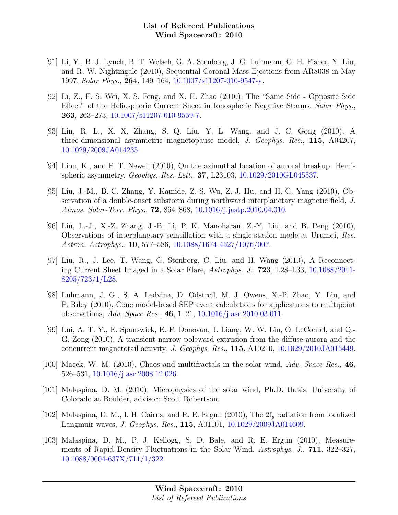- [91] Li, Y., B. J. Lynch, B. T. Welsch, G. A. Stenborg, J. G. Luhmann, G. H. Fisher, Y. Liu, and R. W. Nightingale (2010), Sequential Coronal Mass Ejections from AR8038 in May 1997, Solar Phys., 264, 149–164, [10.1007/s11207-010-9547-y.](http://dx.doi.org/10.1007/s11207-010-9547-y)
- [92] Li, Z., F. S. Wei, X. S. Feng, and X. H. Zhao (2010), The "Same Side Opposite Side Effect" of the Heliospheric Current Sheet in Ionospheric Negative Storms, Solar Phys., 263, 263–273, [10.1007/s11207-010-9559-7.](http://dx.doi.org/10.1007/s11207-010-9559-7)
- [93] Lin, R. L., X. X. Zhang, S. Q. Liu, Y. L. Wang, and J. C. Gong (2010), A three-dimensional asymmetric magnetopause model, J. Geophys. Res., 115, A04207, [10.1029/2009JA014235.](http://dx.doi.org/10.1029/2009JA014235)
- [94] Liou, K., and P. T. Newell (2010), On the azimuthal location of auroral breakup: Hemispheric asymmetry, Geophys. Res. Lett., 37, L23103, [10.1029/2010GL045537.](http://dx.doi.org/10.1029/2010GL045537)
- [95] Liu, J.-M., B.-C. Zhang, Y. Kamide, Z.-S. Wu, Z.-J. Hu, and H.-G. Yang (2010), Observation of a double-onset substorm during northward interplanetary magnetic field, J. Atmos. Solar-Terr. Phys., 72, 864–868, [10.1016/j.jastp.2010.04.010.](http://dx.doi.org/10.1016/j.jastp.2010.04.010)
- [96] Liu, L.-J., X.-Z. Zhang, J.-B. Li, P. K. Manoharan, Z.-Y. Liu, and B. Peng (2010), Observations of interplanetary scintillation with a single-station mode at Urumqi, Res. Astron. Astrophys., 10, 577–586, [10.1088/1674-4527/10/6/007.](http://dx.doi.org/10.1088/1674-4527/10/6/007)
- [97] Liu, R., J. Lee, T. Wang, G. Stenborg, C. Liu, and H. Wang (2010), A Reconnecting Current Sheet Imaged in a Solar Flare, Astrophys. J., 723, L28–L33, [10.1088/2041-](http://dx.doi.org/10.1088/2041-8205/723/1/L28) [8205/723/1/L28.](http://dx.doi.org/10.1088/2041-8205/723/1/L28)
- [98] Luhmann, J. G., S. A. Ledvina, D. Odstrcil, M. J. Owens, X.-P. Zhao, Y. Liu, and P. Riley (2010), Cone model-based SEP event calculations for applications to multipoint observations, Adv. Space Res., 46, 1–21, [10.1016/j.asr.2010.03.011.](http://dx.doi.org/10.1016/j.asr.2010.03.011)
- [99] Lui, A. T. Y., E. Spanswick, E. F. Donovan, J. Liang, W. W. Liu, O. LeContel, and Q.- G. Zong (2010), A transient narrow poleward extrusion from the diffuse aurora and the concurrent magnetotail activity, J. Geophys. Res., 115, A10210, [10.1029/2010JA015449.](http://dx.doi.org/10.1029/2010JA015449)
- [100] Macek, W. M. (2010), Chaos and multifractals in the solar wind, Adv. Space Res., 46, 526–531, [10.1016/j.asr.2008.12.026.](http://dx.doi.org/10.1016/j.asr.2008.12.026)
- [101] Malaspina, D. M. (2010), Microphysics of the solar wind, Ph.D. thesis, University of Colorado at Boulder, advisor: Scott Robertson.
- [102] Malaspina, D. M., I. H. Cairns, and R. E. Ergun (2010), The  $2f_p$  radiation from localized Langmuir waves, J. Geophys. Res., 115, A01101, [10.1029/2009JA014609.](http://dx.doi.org/10.1029/2009JA014609)
- [103] Malaspina, D. M., P. J. Kellogg, S. D. Bale, and R. E. Ergun (2010), Measurements of Rapid Density Fluctuations in the Solar Wind, Astrophys. J., 711, 322–327, [10.1088/0004-637X/711/1/322.](http://dx.doi.org/10.1088/0004-637X/711/1/322)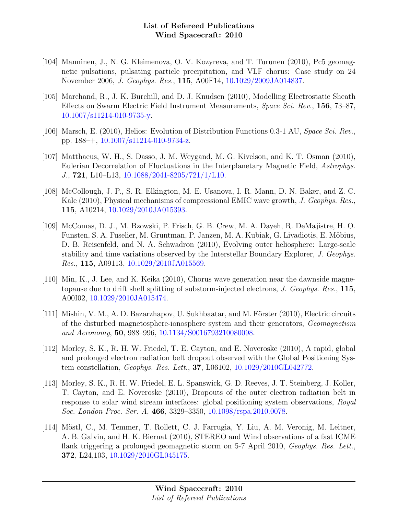- [104] Manninen, J., N. G. Kleimenova, O. V. Kozyreva, and T. Turunen (2010), Pc5 geomagnetic pulsations, pulsating particle precipitation, and VLF chorus: Case study on 24 November 2006, J. Geophys. Res., 115, A00F14, [10.1029/2009JA014837.](http://dx.doi.org/10.1029/2009JA014837)
- [105] Marchand, R., J. K. Burchill, and D. J. Knudsen (2010), Modelling Electrostatic Sheath Effects on Swarm Electric Field Instrument Measurements, Space Sci. Rev., 156, 73–87, [10.1007/s11214-010-9735-y.](http://dx.doi.org/10.1007/s11214-010-9735-y)
- [106] Marsch, E. (2010), Helios: Evolution of Distribution Functions 0.3-1 AU, Space Sci. Rev., pp. 188–+, [10.1007/s11214-010-9734-z.](http://dx.doi.org/10.1007/s11214-010-9734-z)
- [107] Matthaeus, W. H., S. Dasso, J. M. Weygand, M. G. Kivelson, and K. T. Osman (2010), Eulerian Decorrelation of Fluctuations in the Interplanetary Magnetic Field, Astrophys. J., 721, L10–L13, [10.1088/2041-8205/721/1/L10.](http://dx.doi.org/10.1088/2041-8205/721/1/L10)
- [108] McCollough, J. P., S. R. Elkington, M. E. Usanova, I. R. Mann, D. N. Baker, and Z. C. Kale (2010), Physical mechanisms of compressional EMIC wave growth, J. Geophys. Res., 115, A10214, [10.1029/2010JA015393.](http://dx.doi.org/10.1029/2010JA015393)
- [109] McComas, D. J., M. Bzowski, P. Frisch, G. B. Crew, M. A. Dayeh, R. DeMajistre, H. O. Funsten, S. A. Fuselier, M. Gruntman, P. Janzen, M. A. Kubiak, G. Livadiotis, E. Möbius, D. B. Reisenfeld, and N. A. Schwadron (2010), Evolving outer heliosphere: Large-scale stability and time variations observed by the Interstellar Boundary Explorer, J. Geophys. Res., 115, A09113, [10.1029/2010JA015569.](http://dx.doi.org/10.1029/2010JA015569)
- [110] Min, K., J. Lee, and K. Keika (2010), Chorus wave generation near the dawnside magnetopause due to drift shell splitting of substorm-injected electrons, J. Geophys. Res., 115, A00I02, [10.1029/2010JA015474.](http://dx.doi.org/10.1029/2010JA015474)
- [111] Mishin, V. M., A. D. Bazarzhapov, U. Sukhbaatar, and M. Förster  $(2010)$ , Electric circuits of the disturbed magnetosphere-ionosphere system and their generators, Geomagnetism and Aeronomy, 50, 988–996, [10.1134/S0016793210080098.](http://dx.doi.org/10.1134/S0016793210080098)
- [112] Morley, S. K., R. H. W. Friedel, T. E. Cayton, and E. Noveroske (2010), A rapid, global and prolonged electron radiation belt dropout observed with the Global Positioning System constellation, Geophys. Res. Lett., 37, L06102, [10.1029/2010GL042772.](http://dx.doi.org/10.1029/2010GL042772)
- [113] Morley, S. K., R. H. W. Friedel, E. L. Spanswick, G. D. Reeves, J. T. Steinberg, J. Koller, T. Cayton, and E. Noveroske (2010), Dropouts of the outer electron radiation belt in response to solar wind stream interfaces: global positioning system observations, Royal Soc. London Proc. Ser. A, 466, 3329–3350, [10.1098/rspa.2010.0078.](http://dx.doi.org/10.1098/rspa.2010.0078)
- [114] Möstl, C., M. Temmer, T. Rollett, C. J. Farrugia, Y. Liu, A. M. Veronig, M. Leitner, A. B. Galvin, and H. K. Biernat (2010), STEREO and Wind observations of a fast ICME flank triggering a prolonged geomagnetic storm on 5-7 April 2010, Geophys. Res. Lett., 372, L24,103, [10.1029/2010GL045175.](http://dx.doi.org/10.1029/2010GL045175)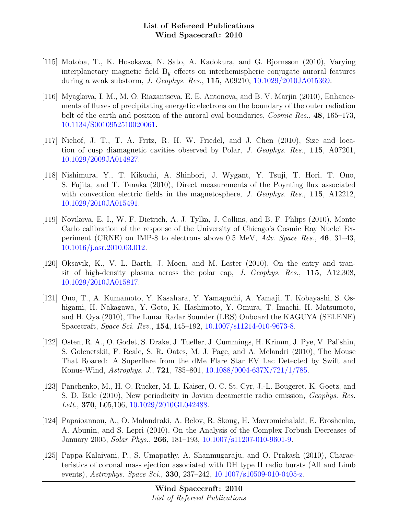- [115] Motoba, T., K. Hosokawa, N. Sato, A. Kadokura, and G. Bjornsson (2010), Varying interplanetary magnetic field  $B<sub>y</sub>$  effects on interhemispheric conjugate auroral features during a weak substorm, J. Geophys. Res., 115, A09210, [10.1029/2010JA015369.](http://dx.doi.org/10.1029/2010JA015369)
- [116] Myagkova, I. M., M. O. Riazantseva, E. E. Antonova, and B. V. Marjin (2010), Enhancements of fluxes of precipitating energetic electrons on the boundary of the outer radiation belt of the earth and position of the auroral oval boundaries, *Cosmic Res.*, 48, 165–173, [10.1134/S0010952510020061.](http://dx.doi.org/10.1134/S0010952510020061)
- [117] Niehof, J. T., T. A. Fritz, R. H. W. Friedel, and J. Chen (2010), Size and location of cusp diamagnetic cavities observed by Polar, J. Geophys. Res., 115, A07201, [10.1029/2009JA014827.](http://dx.doi.org/10.1029/2009JA014827)
- [118] Nishimura, Y., T. Kikuchi, A. Shinbori, J. Wygant, Y. Tsuji, T. Hori, T. Ono, S. Fujita, and T. Tanaka (2010), Direct measurements of the Poynting flux associated with convection electric fields in the magnetosphere, J. Geophys. Res., 115, A12212, [10.1029/2010JA015491.](http://dx.doi.org/10.1029/2010JA015491)
- [119] Novikova, E. I., W. F. Dietrich, A. J. Tylka, J. Collins, and B. F. Phlips (2010), Monte Carlo calibration of the response of the University of Chicago's Cosmic Ray Nuclei Experiment (CRNE) on IMP-8 to electrons above 0.5 MeV,  $Adv. Space Res., 46, 31-43,$ [10.1016/j.asr.2010.03.012.](http://dx.doi.org/10.1016/j.asr.2010.03.012)
- [120] Oksavik, K., V. L. Barth, J. Moen, and M. Lester (2010), On the entry and transit of high-density plasma across the polar cap,  $J.$  Geophys. Res., 115, A12,308, [10.1029/2010JA015817.](http://dx.doi.org/10.1029/2010JA015817)
- [121] Ono, T., A. Kumamoto, Y. Kasahara, Y. Yamaguchi, A. Yamaji, T. Kobayashi, S. Oshigami, H. Nakagawa, Y. Goto, K. Hashimoto, Y. Omura, T. Imachi, H. Matsumoto, and H. Oya (2010), The Lunar Radar Sounder (LRS) Onboard the KAGUYA (SELENE) Spacecraft, Space Sci. Rev., 154, 145–192, [10.1007/s11214-010-9673-8.](http://dx.doi.org/10.1007/s11214-010-9673-8)
- [122] Osten, R. A., O. Godet, S. Drake, J. Tueller, J. Cummings, H. Krimm, J. Pye, V. Pal'shin, S. Golenetskii, F. Reale, S. R. Oates, M. J. Page, and A. Melandri (2010), The Mouse That Roared: A Superflare from the dMe Flare Star EV Lac Detected by Swift and Konus-Wind, Astrophys. J., 721, 785–801, [10.1088/0004-637X/721/1/785.](http://dx.doi.org/10.1088/0004-637X/721/1/785)
- [123] Panchenko, M., H. O. Rucker, M. L. Kaiser, O. C. St. Cyr, J.-L. Bougeret, K. Goetz, and S. D. Bale (2010), New periodicity in Jovian decametric radio emission, Geophys. Res. Lett., **370**, L05, 106, [10.1029/2010GL042488.](http://dx.doi.org/10.1029/2010GL042488)
- [124] Papaioannou, A., O. Malandraki, A. Belov, R. Skoug, H. Mavromichalaki, E. Eroshenko, A. Abunin, and S. Lepri (2010), On the Analysis of the Complex Forbush Decreases of January 2005, Solar Phys., 266, 181–193, [10.1007/s11207-010-9601-9.](http://dx.doi.org/10.1007/s11207-010-9601-9)
- [125] Pappa Kalaivani, P., S. Umapathy, A. Shanmugaraju, and O. Prakash (2010), Characteristics of coronal mass ejection associated with DH type II radio bursts (All and Limb events), Astrophys. Space Sci., **330**, 237–242, [10.1007/s10509-010-0405-z.](http://dx.doi.org/10.1007/s10509-010-0405-z)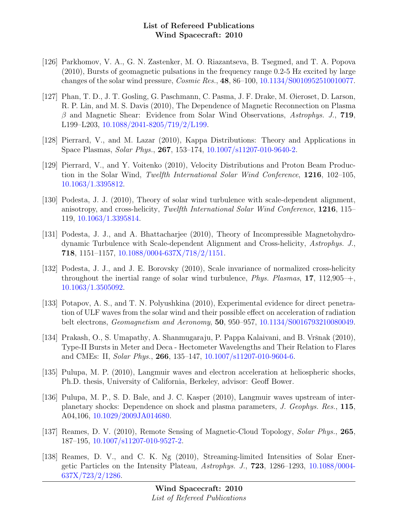- [126] Parkhomov, V. A., G. N. Zastenker, M. O. Riazantseva, B. Tsegmed, and T. A. Popova (2010), Bursts of geomagnetic pulsations in the frequency range 0.2-5 Hz excited by large changes of the solar wind pressure, Cosmic Res., 48, 86–100, [10.1134/S0010952510010077.](http://dx.doi.org/10.1134/S0010952510010077)
- [127] Phan, T. D., J. T. Gosling, G. Paschmann, C. Pasma, J. F. Drake, M. Øieroset, D. Larson, R. P. Lin, and M. S. Davis (2010), The Dependence of Magnetic Reconnection on Plasma  $\beta$  and Magnetic Shear: Evidence from Solar Wind Observations, Astrophys. J., 719, L199–L203, [10.1088/2041-8205/719/2/L199.](http://dx.doi.org/10.1088/2041-8205/719/2/L199)
- [128] Pierrard, V., and M. Lazar (2010), Kappa Distributions: Theory and Applications in Space Plasmas, Solar Phys., 267, 153–174, [10.1007/s11207-010-9640-2.](http://dx.doi.org/10.1007/s11207-010-9640-2)
- [129] Pierrard, V., and Y. Voitenko (2010), Velocity Distributions and Proton Beam Production in the Solar Wind, Twelfth International Solar Wind Conference, 1216, 102–105, [10.1063/1.3395812.](http://dx.doi.org/10.1063/1.3395812)
- [130] Podesta, J. J. (2010), Theory of solar wind turbulence with scale-dependent alignment, anisotropy, and cross-helicity, Twelfth International Solar Wind Conference, 1216, 115– 119, [10.1063/1.3395814.](http://dx.doi.org/10.1063/1.3395814)
- [131] Podesta, J. J., and A. Bhattacharjee (2010), Theory of Incompressible Magnetohydrodynamic Turbulence with Scale-dependent Alignment and Cross-helicity, Astrophys. J., 718, 1151–1157, [10.1088/0004-637X/718/2/1151.](http://dx.doi.org/10.1088/0004-637X/718/2/1151)
- [132] Podesta, J. J., and J. E. Borovsky (2010), Scale invariance of normalized cross-helicity throughout the inertial range of solar wind turbulence, *Phys. Plasmas*, 17, 112,905<sup>-+</sup>, [10.1063/1.3505092.](http://dx.doi.org/10.1063/1.3505092)
- [133] Potapov, A. S., and T. N. Polyushkina (2010), Experimental evidence for direct penetration of ULF waves from the solar wind and their possible effect on acceleration of radiation belt electrons, Geomagnetism and Aeronomy, 50, 950–957, [10.1134/S0016793210080049.](http://dx.doi.org/10.1134/S0016793210080049)
- [134] Prakash, O., S. Umapathy, A. Shanmugaraju, P. Pappa Kalaivani, and B. Vršnak (2010), Type-II Bursts in Meter and Deca - Hectometer Wavelengths and Their Relation to Flares and CMEs: II, Solar Phys., 266, 135–147, [10.1007/s11207-010-9604-6.](http://dx.doi.org/10.1007/s11207-010-9604-6)
- [135] Pulupa, M. P. (2010), Langmuir waves and electron acceleration at heliospheric shocks, Ph.D. thesis, University of California, Berkeley, advisor: Geoff Bower.
- [136] Pulupa, M. P., S. D. Bale, and J. C. Kasper (2010), Langmuir waves upstream of interplanetary shocks: Dependence on shock and plasma parameters, J. Geophys. Res., 115, A04,106, [10.1029/2009JA014680.](http://dx.doi.org/10.1029/2009JA014680)
- [137] Reames, D. V. (2010), Remote Sensing of Magnetic-Cloud Topology, Solar Phys., 265, 187–195, [10.1007/s11207-010-9527-2.](http://dx.doi.org/10.1007/s11207-010-9527-2)
- [138] Reames, D. V., and C. K. Ng (2010), Streaming-limited Intensities of Solar Energetic Particles on the Intensity Plateau, Astrophys. J., 723, 1286–1293, [10.1088/0004-](http://dx.doi.org/10.1088/0004-637X/723/2/1286) [637X/723/2/1286.](http://dx.doi.org/10.1088/0004-637X/723/2/1286)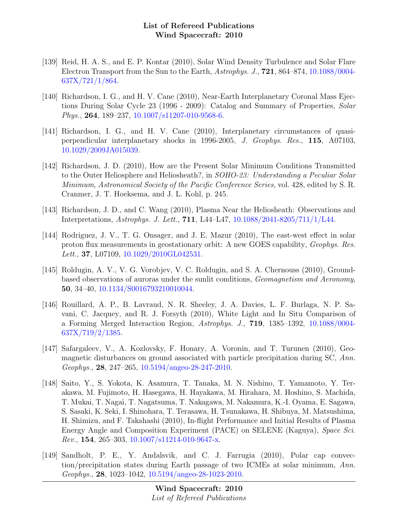- [139] Reid, H. A. S., and E. P. Kontar (2010), Solar Wind Density Turbulence and Solar Flare Electron Transport from the Sun to the Earth, Astrophys. J., 721, 864–874, [10.1088/0004-](http://dx.doi.org/10.1088/0004-637X/721/1/864) [637X/721/1/864.](http://dx.doi.org/10.1088/0004-637X/721/1/864)
- [140] Richardson, I. G., and H. V. Cane (2010), Near-Earth Interplanetary Coronal Mass Ejections During Solar Cycle 23 (1996 - 2009): Catalog and Summary of Properties, Solar Phys., 264, 189–237, [10.1007/s11207-010-9568-6.](http://dx.doi.org/10.1007/s11207-010-9568-6)
- [141] Richardson, I. G., and H. V. Cane (2010), Interplanetary circumstances of quasiperpendicular interplanetary shocks in 1996-2005, J. Geophys. Res., 115, A07103, [10.1029/2009JA015039.](http://dx.doi.org/10.1029/2009JA015039)
- [142] Richardson, J. D. (2010), How are the Present Solar Minimum Conditions Transmitted to the Outer Heliosphere and Heliosheath?, in SOHO-23: Understanding a Peculiar Solar Minimum, Astronomical Society of the Pacific Conference Series, vol. 428, edited by S. R. Cranmer, J. T. Hoeksema, and J. L. Kohl, p. 245.
- [143] Richardson, J. D., and C. Wang (2010), Plasma Near the Heliosheath: Observations and Interpretations, Astrophys. J. Lett., 711, L44–L47, [10.1088/2041-8205/711/1/L44.](http://dx.doi.org/10.1088/2041-8205/711/1/L44)
- [144] Rodriguez, J. V., T. G. Onsager, and J. E. Mazur (2010), The east-west effect in solar proton flux measurements in geostationary orbit: A new GOES capability, Geophys. Res. Lett., **37**, L07109, [10.1029/2010GL042531.](http://dx.doi.org/10.1029/2010GL042531)
- [145] Roldugin, A. V., V. G. Vorobjev, V. C. Roldugin, and S. A. Chernouss (2010), Groundbased observations of auroras under the sunlit conditions, Geomagnetism and Aeronomy, 50, 34–40, [10.1134/S0016793210010044.](http://dx.doi.org/10.1134/S0016793210010044)
- [146] Rouillard, A. P., B. Lavraud, N. R. Sheeley, J. A. Davies, L. F. Burlaga, N. P. Savani, C. Jacquey, and R. J. Forsyth (2010), White Light and In Situ Comparison of a Forming Merged Interaction Region, Astrophys. J., 719, 1385–1392, [10.1088/0004-](http://dx.doi.org/10.1088/0004-637X/719/2/1385) [637X/719/2/1385.](http://dx.doi.org/10.1088/0004-637X/719/2/1385)
- [147] Safargaleev, V., A. Kozlovsky, F. Honary, A. Voronin, and T. Turunen (2010), Geomagnetic disturbances on ground associated with particle precipitation during SC, Ann. Geophys., 28, 247–265, [10.5194/angeo-28-247-2010.](http://dx.doi.org/10.5194/angeo-28-247-2010)
- [148] Saito, Y., S. Yokota, K. Asamura, T. Tanaka, M. N. Nishino, T. Yamamoto, Y. Terakawa, M. Fujimoto, H. Hasegawa, H. Hayakawa, M. Hirahara, M. Hoshino, S. Machida, T. Mukai, T. Nagai, T. Nagatsuma, T. Nakagawa, M. Nakamura, K.-I. Oyama, E. Sagawa, S. Sasaki, K. Seki, I. Shinohara, T. Terasawa, H. Tsunakawa, H. Shibuya, M. Matsushima, H. Shimizu, and F. Takahashi (2010), In-flight Performance and Initial Results of Plasma Energy Angle and Composition Experiment (PACE) on SELENE (Kaguya), Space Sci. Rev., 154, 265–303, [10.1007/s11214-010-9647-x.](http://dx.doi.org/10.1007/s11214-010-9647-x)
- [149] Sandholt, P. E., Y. Andalsvik, and C. J. Farrugia (2010), Polar cap convection/precipitation states during Earth passage of two ICMEs at solar minimum, Ann. Geophys., 28, 1023–1042, [10.5194/angeo-28-1023-2010.](http://dx.doi.org/10.5194/angeo-28-1023-2010)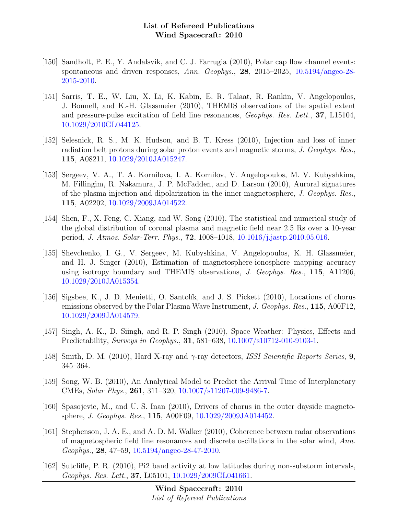- [150] Sandholt, P. E., Y. Andalsvik, and C. J. Farrugia (2010), Polar cap flow channel events: spontaneous and driven responses, Ann. Geophys., 28, 2015–2025, [10.5194/angeo-28-](http://dx.doi.org/10.5194/angeo-28-2015-2010) [2015-2010.](http://dx.doi.org/10.5194/angeo-28-2015-2010)
- [151] Sarris, T. E., W. Liu, X. Li, K. Kabin, E. R. Talaat, R. Rankin, V. Angelopoulos, J. Bonnell, and K.-H. Glassmeier (2010), THEMIS observations of the spatial extent and pressure-pulse excitation of field line resonances, Geophys. Res. Lett., 37, L15104, [10.1029/2010GL044125.](http://dx.doi.org/10.1029/2010GL044125)
- [152] Selesnick, R. S., M. K. Hudson, and B. T. Kress (2010), Injection and loss of inner radiation belt protons during solar proton events and magnetic storms, J. Geophys. Res., 115, A08211, [10.1029/2010JA015247.](http://dx.doi.org/10.1029/2010JA015247)
- [153] Sergeev, V. A., T. A. Kornilova, I. A. Kornilov, V. Angelopoulos, M. V. Kubyshkina, M. Fillingim, R. Nakamura, J. P. McFadden, and D. Larson (2010), Auroral signatures of the plasma injection and dipolarization in the inner magnetosphere, J. Geophys. Res., 115, A02202, [10.1029/2009JA014522.](http://dx.doi.org/10.1029/2009JA014522)
- [154] Shen, F., X. Feng, C. Xiang, and W. Song (2010), The statistical and numerical study of the global distribution of coronal plasma and magnetic field near 2.5 Rs over a 10-year period, J. Atmos. Solar-Terr. Phys., 72, 1008–1018, [10.1016/j.jastp.2010.05.016.](http://dx.doi.org/10.1016/j.jastp.2010.05.016)
- [155] Shevchenko, I. G., V. Sergeev, M. Kubyshkina, V. Angelopoulos, K. H. Glassmeier, and H. J. Singer (2010), Estimation of magnetosphere-ionosphere mapping accuracy using isotropy boundary and THEMIS observations, J. Geophys. Res., 115, A11206, [10.1029/2010JA015354.](http://dx.doi.org/10.1029/2010JA015354)
- [156] Sigsbee, K., J. D. Menietti, O. Santolík, and J. S. Pickett (2010), Locations of chorus emissions observed by the Polar Plasma Wave Instrument, J. Geophys. Res., 115, A00F12, [10.1029/2009JA014579.](http://dx.doi.org/10.1029/2009JA014579)
- [157] Singh, A. K., D. Siingh, and R. P. Singh (2010), Space Weather: Physics, Effects and Predictability, Surveys in Geophys., 31, 581–638, [10.1007/s10712-010-9103-1.](http://dx.doi.org/10.1007/s10712-010-9103-1)
- [158] Smith, D. M. (2010), Hard X-ray and  $\gamma$ -ray detectors, *ISSI Scientific Reports Series*, 9, 345–364.
- [159] Song, W. B. (2010), An Analytical Model to Predict the Arrival Time of Interplanetary CMEs, Solar Phys., 261, 311–320, [10.1007/s11207-009-9486-7.](http://dx.doi.org/10.1007/s11207-009-9486-7)
- [160] Spasojevic, M., and U. S. Inan (2010), Drivers of chorus in the outer dayside magnetosphere, J. Geophys. Res., 115, A00F09, [10.1029/2009JA014452.](http://dx.doi.org/10.1029/2009JA014452)
- [161] Stephenson, J. A. E., and A. D. M. Walker (2010), Coherence between radar observations of magnetospheric field line resonances and discrete oscillations in the solar wind, Ann. Geophys., 28, 47–59, [10.5194/angeo-28-47-2010.](http://dx.doi.org/10.5194/angeo-28-47-2010)
- [162] Sutcliffe, P. R. (2010), Pi2 band activity at low latitudes during non-substorm intervals, Geophys. Res. Lett., 37, L05101, [10.1029/2009GL041661.](http://dx.doi.org/10.1029/2009GL041661)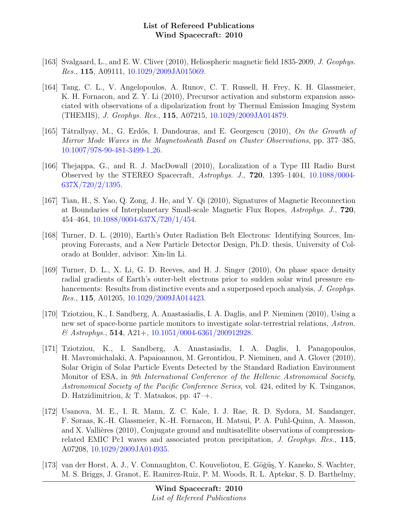- [163] Svalgaard, L., and E. W. Cliver (2010), Heliospheric magnetic field 1835-2009, J. Geophys. Res., 115, A09111, [10.1029/2009JA015069.](http://dx.doi.org/10.1029/2009JA015069)
- [164] Tang, C. L., V. Angelopoulos, A. Runov, C. T. Russell, H. Frey, K. H. Glassmeier, K. H. Fornacon, and Z. Y. Li (2010), Precursor activation and substorm expansion associated with observations of a dipolarization front by Thermal Emission Imaging System (THEMIS), J. Geophys. Res., 115, A07215, [10.1029/2009JA014879.](http://dx.doi.org/10.1029/2009JA014879)
- [165] Tátrallyay, M., G. Erdős, I. Dandouras, and E. Georgescu (2010), On the Growth of Mirror Mode Waves in the Magnetosheath Based on Cluster Observations, pp. 377–385, [10.1007/978-90-481-3499-1](http://dx.doi.org/10.1007/978-90-481-3499-1_26) 26.
- [166] Thejappa, G., and R. J. MacDowall (2010), Localization of a Type III Radio Burst Observed by the STEREO Spacecraft, Astrophys. J., 720, 1395–1404, [10.1088/0004-](http://dx.doi.org/10.1088/0004-637X/720/2/1395) [637X/720/2/1395.](http://dx.doi.org/10.1088/0004-637X/720/2/1395)
- [167] Tian, H., S. Yao, Q. Zong, J. He, and Y. Qi (2010), Signatures of Magnetic Reconnection at Boundaries of Interplanetary Small-scale Magnetic Flux Ropes, Astrophys. J., 720, 454–464, [10.1088/0004-637X/720/1/454.](http://dx.doi.org/10.1088/0004-637X/720/1/454)
- [168] Turner, D. L. (2010), Earth's Outer Radiation Belt Electrons: Identifying Sources, Improving Forecasts, and a New Particle Detector Design, Ph.D. thesis, University of Colorado at Boulder, advisor: Xin-lin Li.
- [169] Turner, D. L., X. Li, G. D. Reeves, and H. J. Singer (2010), On phase space density radial gradients of Earth's outer-belt electrons prior to sudden solar wind pressure enhancements: Results from distinctive events and a superposed epoch analysis, J. Geophys. Res., 115, A01205, [10.1029/2009JA014423.](http://dx.doi.org/10.1029/2009JA014423)
- [170] Tziotziou, K., I. Sandberg, A. Anastasiadis, I. A. Daglis, and P. Nieminen (2010), Using a new set of space-borne particle monitors to investigate solar-terrestrial relations, Astron.  $\mathcal{O}$  Astrophys., 514, A21+, [10.1051/0004-6361/200912928.](http://dx.doi.org/10.1051/0004-6361/200912928)
- [171] Tziotziou, K., I. Sandberg, A. Anastasiadis, I. A. Daglis, I. Panagopoulos, H. Mavromichalaki, A. Papaioannou, M. Gerontidou, P. Nieminen, and A. Glover (2010), Solar Origin of Solar Particle Events Detected by the Standard Radiation Environment Monitor of ESA, in 9th International Conference of the Hellenic Astronomical Society, Astronomical Society of the Pacific Conference Series, vol. 424, edited by K. Tsinganos, D. Hatzidimitriou, & T. Matsakos, pp. 47–+.
- [172] Usanova, M. E., I. R. Mann, Z. C. Kale, I. J. Rae, R. D. Sydora, M. Sandanger, F. Søraas, K.-H. Glassmeier, K.-H. Fornacon, H. Matsui, P. A. Puhl-Quinn, A. Masson, and X. Vallières  $(2010)$ , Conjugate ground and multisatellite observations of compressionrelated EMIC Pc1 waves and associated proton precipitation, J. Geophys. Res., 115, A07208, [10.1029/2009JA014935.](http://dx.doi.org/10.1029/2009JA014935)
- [173] van der Horst, A. J., V. Connaughton, C. Kouveliotou, E. Göğüş, Y. Kaneko, S. Wachter, M. S. Briggs, J. Granot, E. Ramirez-Ruiz, P. M. Woods, R. L. Aptekar, S. D. Barthelmy,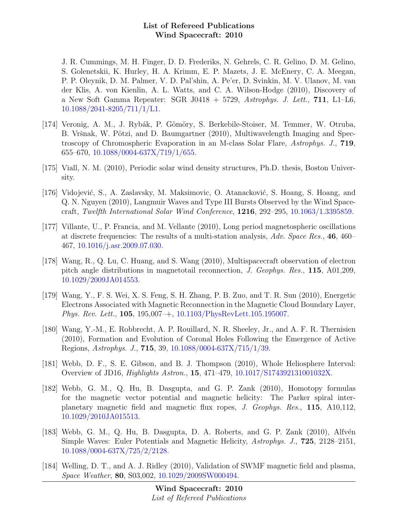J. R. Cummings, M. H. Finger, D. D. Frederiks, N. Gehrels, C. R. Gelino, D. M. Gelino, S. Golenetskii, K. Hurley, H. A. Krimm, E. P. Mazets, J. E. McEnery, C. A. Meegan, P. P. Oleynik, D. M. Palmer, V. D. Pal'shin, A. Pe'er, D. Svinkin, M. V. Ulanov, M. van der Klis, A. von Kienlin, A. L. Watts, and C. A. Wilson-Hodge (2010), Discovery of a New Soft Gamma Repeater: SGR J0418 + 5729, Astrophys. J. Lett.,  $711$ , L1–L6, [10.1088/2041-8205/711/1/L1.](http://dx.doi.org/10.1088/2041-8205/711/1/L1)

- [174] Veronig, A. M., J. Rybák, P. Gömöry, S. Berkebile-Stoiser, M. Temmer, W. Otruba, B. Vršnak, W. Pötzi, and D. Baumgartner (2010), Multiwavelength Imaging and Spectroscopy of Chromospheric Evaporation in an M-class Solar Flare, Astrophys. J., 719, 655–670, [10.1088/0004-637X/719/1/655.](http://dx.doi.org/10.1088/0004-637X/719/1/655)
- [175] Viall, N. M. (2010), Periodic solar wind density structures, Ph.D. thesis, Boston University.
- [176] Vidojević, S., A. Zaslavsky, M. Maksimovic, O. Atanacković, S. Hoang, S. Hoang, and Q. N. Nguyen (2010), Langmuir Waves and Type III Bursts Observed by the Wind Spacecraft, Twelfth International Solar Wind Conference, 1216, 292–295, [10.1063/1.3395859.](http://dx.doi.org/10.1063/1.3395859)
- [177] Villante, U., P. Francia, and M. Vellante (2010), Long period magnetospheric oscillations at discrete frequencies: The results of a multi-station analysis, Adv. Space Res., 46, 460– 467, [10.1016/j.asr.2009.07.030.](http://dx.doi.org/10.1016/j.asr.2009.07.030)
- [178] Wang, R., Q. Lu, C. Huang, and S. Wang (2010), Multispacecraft observation of electron pitch angle distributions in magnetotail reconnection, J. Geophys. Res., 115, A01,209, [10.1029/2009JA014553.](http://dx.doi.org/10.1029/2009JA014553)
- [179] Wang, Y., F. S. Wei, X. S. Feng, S. H. Zhang, P. B. Zuo, and T. R. Sun (2010), Energetic Electrons Associated with Magnetic Reconnection in the Magnetic Cloud Boundary Layer, Phys. Rev. Lett., 105, 195,007–+, [10.1103/PhysRevLett.105.195007.](http://dx.doi.org/10.1103/PhysRevLett.105.195007)
- [180] Wang, Y.-M., E. Robbrecht, A. P. Rouillard, N. R. Sheeley, Jr., and A. F. R. Thernisien (2010), Formation and Evolution of Coronal Holes Following the Emergence of Active Regions, Astrophys. J., 715, 39, [10.1088/0004-637X/715/1/39.](http://dx.doi.org/10.1088/0004-637X/715/1/39)
- [181] Webb, D. F., S. E. Gibson, and B. J. Thompson (2010), Whole Heliosphere Interval: Overview of JD16, Highlights Astron., 15, 471–479, [10.1017/S174392131001032X.](http://dx.doi.org/10.1017/S174392131001032X)
- [182] Webb, G. M., Q. Hu, B. Dasgupta, and G. P. Zank (2010), Homotopy formulas for the magnetic vector potential and magnetic helicity: The Parker spiral interplanetary magnetic field and magnetic flux ropes, J. Geophys. Res., 115, A10,112, [10.1029/2010JA015513.](http://dx.doi.org/10.1029/2010JA015513)
- [183] Webb, G. M., Q. Hu, B. Dasgupta, D. A. Roberts, and G. P. Zank  $(2010)$ , Alfvén Simple Waves: Euler Potentials and Magnetic Helicity, Astrophys. J., 725, 2128–2151, [10.1088/0004-637X/725/2/2128.](http://dx.doi.org/10.1088/0004-637X/725/2/2128)
- [184] Welling, D. T., and A. J. Ridley (2010), Validation of SWMF magnetic field and plasma, Space Weather, 80, S03,002, [10.1029/2009SW000494.](http://dx.doi.org/10.1029/2009SW000494)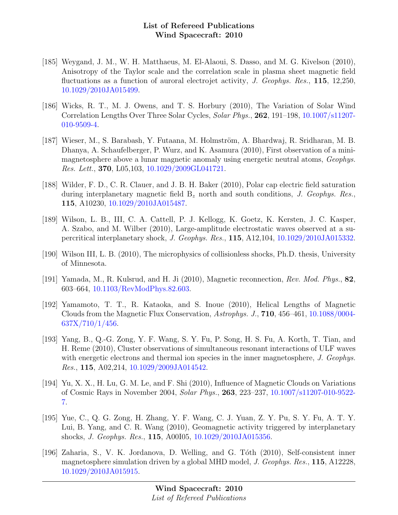- [185] Weygand, J. M., W. H. Matthaeus, M. El-Alaoui, S. Dasso, and M. G. Kivelson (2010), Anisotropy of the Taylor scale and the correlation scale in plasma sheet magnetic field fluctuations as a function of auroral electrojet activity, J. Geophys. Res., 115, 12,250, [10.1029/2010JA015499.](http://dx.doi.org/10.1029/2010JA015499)
- [186] Wicks, R. T., M. J. Owens, and T. S. Horbury (2010), The Variation of Solar Wind Correlation Lengths Over Three Solar Cycles, Solar Phys., 262, 191–198, [10.1007/s11207-](http://dx.doi.org/10.1007/s11207-010-9509-4) [010-9509-4.](http://dx.doi.org/10.1007/s11207-010-9509-4)
- [187] Wieser, M., S. Barabash, Y. Futaana, M. Holmström, A. Bhardwaj, R. Sridharan, M. B. Dhanya, A. Schaufelberger, P. Wurz, and K. Asamura (2010), First observation of a minimagnetosphere above a lunar magnetic anomaly using energetic neutral atoms, Geophys. Res. Lett., 370, L05,103, [10.1029/2009GL041721.](http://dx.doi.org/10.1029/2009GL041721)
- [188] Wilder, F. D., C. R. Clauer, and J. B. H. Baker (2010), Polar cap electric field saturation during interplanetary magnetic field  $B_z$  north and south conditions, J. Geophys. Res., 115, A10230, [10.1029/2010JA015487.](http://dx.doi.org/10.1029/2010JA015487)
- [189] Wilson, L. B., III, C. A. Cattell, P. J. Kellogg, K. Goetz, K. Kersten, J. C. Kasper, A. Szabo, and M. Wilber (2010), Large-amplitude electrostatic waves observed at a supercritical interplanetary shock, J. Geophys. Res., 115, A12,104, [10.1029/2010JA015332.](http://dx.doi.org/10.1029/2010JA015332)
- [190] Wilson III, L. B. (2010), The microphysics of collisionless shocks, Ph.D. thesis, University of Minnesota.
- [191] Yamada, M., R. Kulsrud, and H. Ji (2010), Magnetic reconnection, Rev. Mod. Phys., 82, 603–664, [10.1103/RevModPhys.82.603.](http://dx.doi.org/10.1103/RevModPhys.82.603)
- [192] Yamamoto, T. T., R. Kataoka, and S. Inoue (2010), Helical Lengths of Magnetic Clouds from the Magnetic Flux Conservation, Astrophys. J., 710, 456–461, [10.1088/0004-](http://dx.doi.org/10.1088/0004-637X/710/1/456) [637X/710/1/456.](http://dx.doi.org/10.1088/0004-637X/710/1/456)
- [193] Yang, B., Q.-G. Zong, Y. F. Wang, S. Y. Fu, P. Song, H. S. Fu, A. Korth, T. Tian, and H. Reme (2010), Cluster observations of simultaneous resonant interactions of ULF waves with energetic electrons and thermal ion species in the inner magnetosphere, J. Geophys. Res., 115, A02,214, [10.1029/2009JA014542.](http://dx.doi.org/10.1029/2009JA014542)
- [194] Yu, X. X., H. Lu, G. M. Le, and F. Shi (2010), Influence of Magnetic Clouds on Variations of Cosmic Rays in November 2004, Solar Phys., 263, 223–237, [10.1007/s11207-010-9522-](http://dx.doi.org/10.1007/s11207-010-9522-7) [7.](http://dx.doi.org/10.1007/s11207-010-9522-7)
- [195] Yue, C., Q. G. Zong, H. Zhang, Y. F. Wang, C. J. Yuan, Z. Y. Pu, S. Y. Fu, A. T. Y. Lui, B. Yang, and C. R. Wang (2010), Geomagnetic activity triggered by interplanetary shocks, J. Geophys. Res., 115, A00I05, [10.1029/2010JA015356.](http://dx.doi.org/10.1029/2010JA015356)
- [196] Zaharia, S., V. K. Jordanova, D. Welling, and G. Tóth (2010), Self-consistent inner magnetosphere simulation driven by a global MHD model, J. Geophys. Res., 115, A12228, [10.1029/2010JA015915.](http://dx.doi.org/10.1029/2010JA015915)